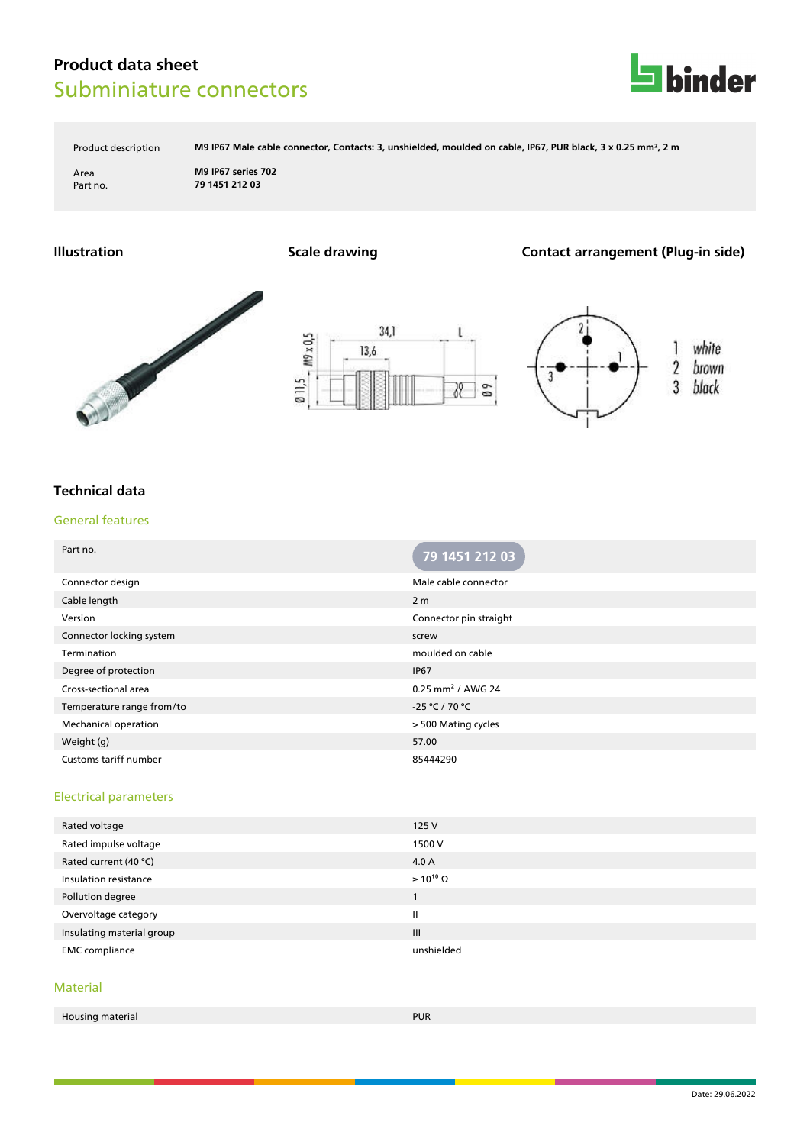# **Product data sheet** Subminiature connectors



Product description **M9 IP67 Male cable connector, Contacts: 3, unshielded, moulded on cable, IP67, PUR black, 3 x 0.25 mm², 2 m**

Area **M9 IP67 series 702** Part no. **79 1451 212 03**

# **Illustration Scale drawing Contact arrangement (Plug-in side)**







# **Technical data**

### General features

| Part no.                  | 79 1451 212 03                |
|---------------------------|-------------------------------|
| Connector design          | Male cable connector          |
| Cable length              | 2 <sub>m</sub>                |
| Version                   | Connector pin straight        |
| Connector locking system  | screw                         |
| Termination               | moulded on cable              |
| Degree of protection      | <b>IP67</b>                   |
| Cross-sectional area      | 0.25 mm <sup>2</sup> / AWG 24 |
| Temperature range from/to | $-25 °C / 70 °C$              |
| Mechanical operation      | > 500 Mating cycles           |
| Weight (g)                | 57.00                         |
| Customs tariff number     | 85444290                      |

## Electrical parameters

| Rated voltage             | 125V                  |
|---------------------------|-----------------------|
| Rated impulse voltage     | 1500 V                |
| Rated current (40 °C)     | 4.0 A                 |
| Insulation resistance     | $\geq 10^{10} \Omega$ |
| Pollution degree          |                       |
| Overvoltage category      | $\mathbf{II}$         |
| Insulating material group | $\mathbf{III}$        |
| <b>EMC</b> compliance     | unshielded            |

#### Material

| . .<br>Housing material | <b>PUR</b> |
|-------------------------|------------|
|                         |            |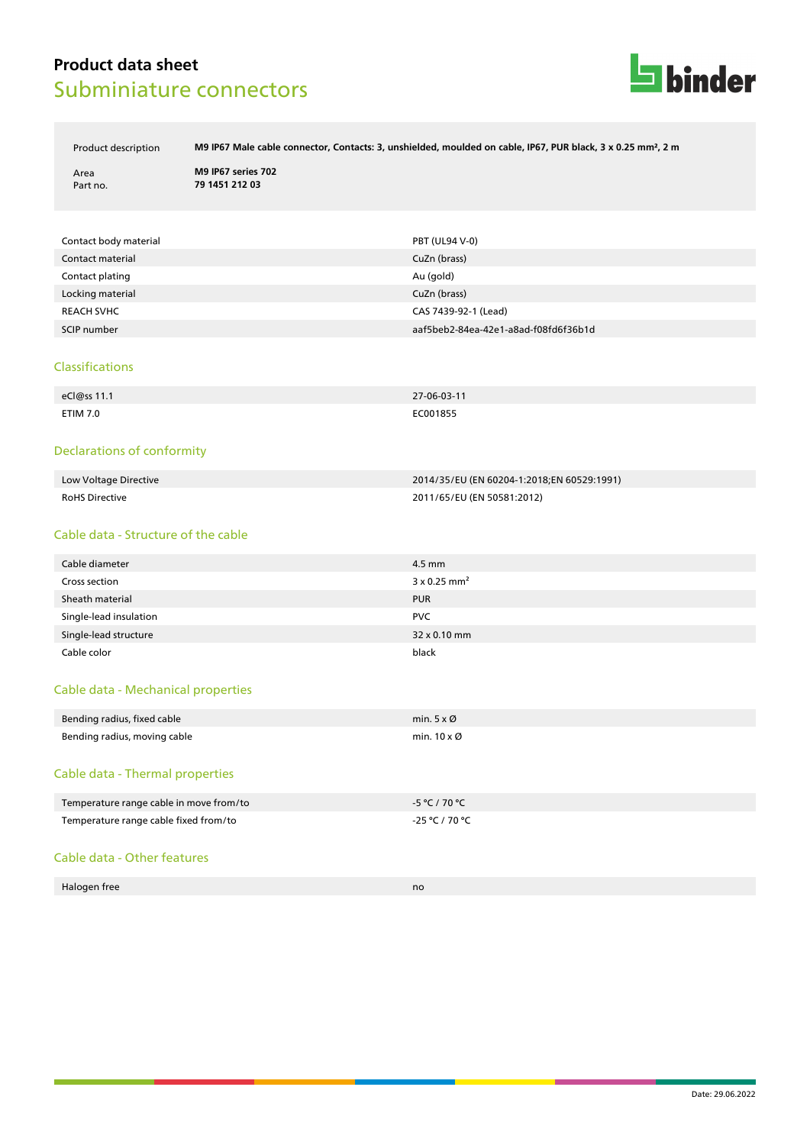# **Product data sheet** Subminiature connectors



Product description **M9 IP67 Male cable connector, Contacts: 3, unshielded, moulded on cable, IP67, PUR black, 3 x 0.25 mm², 2 m**

Area **M9 IP67 series 702** Part no. **79 1451 212 03**

| Contact body material | PBT (UL94 V-0)                       |
|-----------------------|--------------------------------------|
| Contact material      | CuZn (brass)                         |
| Contact plating       | Au (gold)                            |
| Locking material      | CuZn (brass)                         |
| <b>REACH SVHC</b>     | CAS 7439-92-1 (Lead)                 |
| SCIP number           | aaf5beb2-84ea-42e1-a8ad-f08fd6f36b1d |

#### Classifications

| eCl@ss 11.1     | 27-06-03-11 |
|-----------------|-------------|
|                 |             |
| <b>ETIM 7.0</b> | EC001855    |
|                 | .           |

#### Declarations of conformity

| Low Voltage Directive | 2014/35/EU (EN 60204-1:2018:EN 60529:1991) |
|-----------------------|--------------------------------------------|
| RoHS Directive        | 2011/65/EU (EN 50581:2012)                 |

## Cable data - Structure of the cable

| Cable diameter         | 4.5 mm                          |
|------------------------|---------------------------------|
| Cross section          | $3 \times 0.25$ mm <sup>2</sup> |
| Sheath material        | <b>PUR</b>                      |
| Single-lead insulation | PVC                             |
| Single-lead structure  | $32 \times 0.10$ mm             |
| Cable color            | black                           |

#### Cable data - Mechanical properties

| Bending radius, fixed cable  | min. $5 \times 0$          |
|------------------------------|----------------------------|
| Bending radius, moving cable | min. $10 \times \emptyset$ |

#### Cable data - Thermal properties

| Temperature range cable in move from/to | -5 °C / 70 °C  |
|-----------------------------------------|----------------|
| Temperature range cable fixed from/to   | -25 °C / 70 °C |

### Cable data - Other features

| Halogen free | no |
|--------------|----|